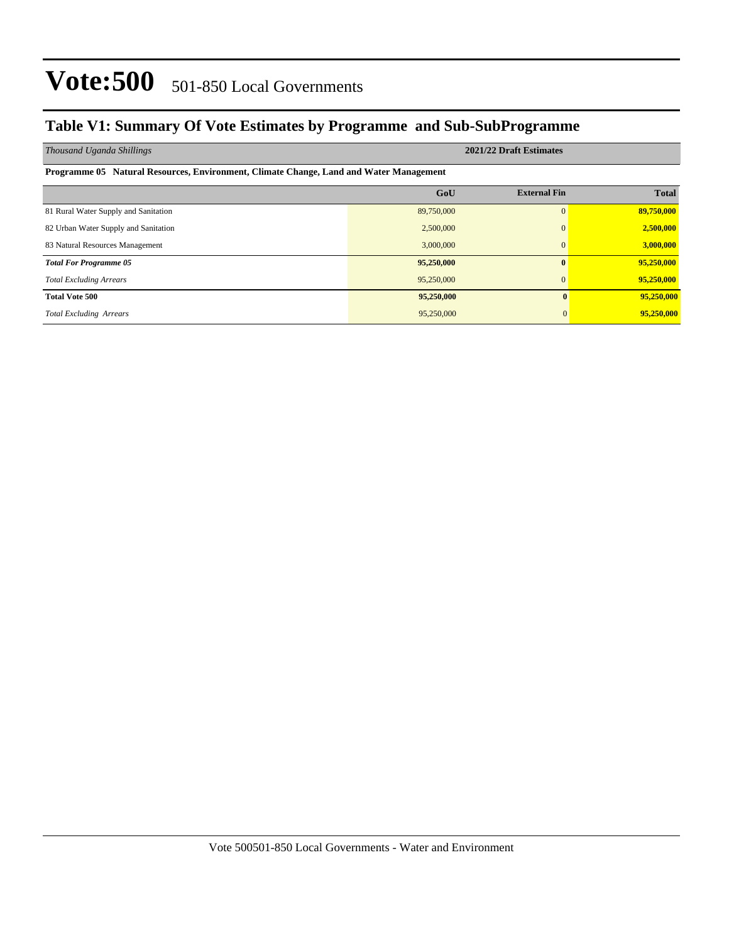## **Table V1: Summary Of Vote Estimates by Programme and Sub-SubProgramme**

| Thousand Uganda Shillings                                                              |            | 2021/22 Draft Estimates |              |  |  |  |  |  |  |  |  |
|----------------------------------------------------------------------------------------|------------|-------------------------|--------------|--|--|--|--|--|--|--|--|
| Programme 05 Natural Resources, Environment, Climate Change, Land and Water Management |            |                         |              |  |  |  |  |  |  |  |  |
|                                                                                        | GoU        | <b>External Fin</b>     | <b>Total</b> |  |  |  |  |  |  |  |  |
| 81 Rural Water Supply and Sanitation                                                   | 89,750,000 | $\Omega$                | 89,750,000   |  |  |  |  |  |  |  |  |
| 82 Urban Water Supply and Sanitation                                                   | 2,500,000  | $\Omega$                | 2,500,000    |  |  |  |  |  |  |  |  |
| 83 Natural Resources Management                                                        | 3,000,000  | $\Omega$                | 3,000,000    |  |  |  |  |  |  |  |  |
| <b>Total For Programme 05</b>                                                          | 95,250,000 | $\mathbf{0}$            | 95,250,000   |  |  |  |  |  |  |  |  |
| <b>Total Excluding Arrears</b>                                                         | 95,250,000 | $\overline{0}$          | 95,250,000   |  |  |  |  |  |  |  |  |
| <b>Total Vote 500</b>                                                                  | 95,250,000 | $\mathbf{0}$            | 95,250,000   |  |  |  |  |  |  |  |  |
| <b>Total Excluding Arrears</b>                                                         | 95,250,000 | $\overline{0}$          | 95,250,000   |  |  |  |  |  |  |  |  |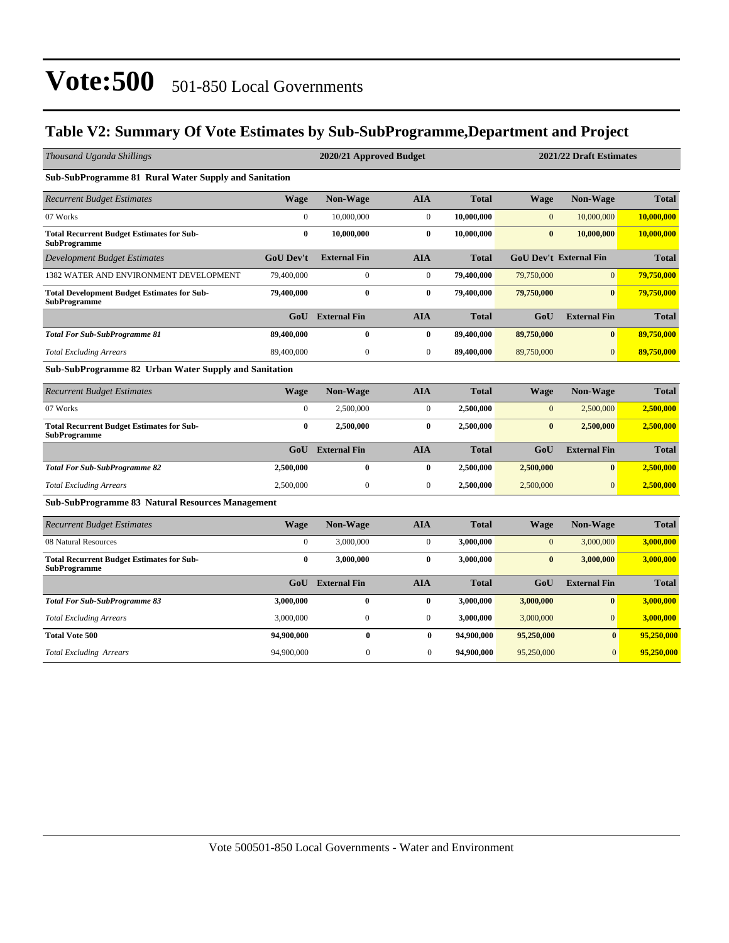## **Table V2: Summary Of Vote Estimates by Sub-SubProgramme,Department and Project**

| Thousand Uganda Shillings                                               |                  | 2020/21 Approved Budget |                  |              |              |                               | 2021/22 Draft Estimates |  |  |
|-------------------------------------------------------------------------|------------------|-------------------------|------------------|--------------|--------------|-------------------------------|-------------------------|--|--|
| <b>Sub-SubProgramme 81 Rural Water Supply and Sanitation</b>            |                  |                         |                  |              |              |                               |                         |  |  |
| <b>Recurrent Budget Estimates</b>                                       | <b>Wage</b>      | Non-Wage                | <b>AIA</b>       | <b>Total</b> | <b>Wage</b>  | Non-Wage                      | <b>Total</b>            |  |  |
| 07 Works                                                                | $\boldsymbol{0}$ | 10,000,000              | $\mathbf{0}$     | 10,000,000   | $\mathbf{0}$ | 10,000,000                    | 10,000,000              |  |  |
| <b>Total Recurrent Budget Estimates for Sub-</b><br><b>SubProgramme</b> | $\bf{0}$         | 10,000,000              | $\bf{0}$         | 10,000,000   | $\bf{0}$     | 10,000,000                    | 10,000,000              |  |  |
| <b>Development Budget Estimates</b>                                     | GoU Dev't        | <b>External Fin</b>     | <b>AIA</b>       | <b>Total</b> |              | <b>GoU Dev't External Fin</b> | <b>Total</b>            |  |  |
| 1382 WATER AND ENVIRONMENT DEVELOPMENT                                  | 79,400,000       | $\overline{0}$          | $\mathbf{0}$     | 79,400,000   | 79,750,000   | $\overline{0}$                | 79,750,000              |  |  |
| <b>Total Development Budget Estimates for Sub-</b><br>SubProgramme      | 79,400,000       | $\bf{0}$                | $\bf{0}$         | 79,400,000   | 79,750,000   | $\bf{0}$                      | 79,750,000              |  |  |
|                                                                         | G <sub>0</sub> U | <b>External Fin</b>     | <b>AIA</b>       | <b>Total</b> | GoU          | <b>External Fin</b>           | <b>Total</b>            |  |  |
| <b>Total For Sub-SubProgramme 81</b>                                    | 89,400,000       | $\bf{0}$                | $\bf{0}$         | 89,400,000   | 89,750,000   | $\bf{0}$                      | 89,750,000              |  |  |
| <b>Total Excluding Arrears</b>                                          | 89,400,000       | $\boldsymbol{0}$        | $\boldsymbol{0}$ | 89,400,000   | 89,750,000   | $\overline{0}$                | 89,750,000              |  |  |
| Sub-SubProgramme 82 Urban Water Supply and Sanitation                   |                  |                         |                  |              |              |                               |                         |  |  |
| <b>Recurrent Budget Estimates</b>                                       | <b>Wage</b>      | Non-Wage                | <b>AIA</b>       | <b>Total</b> | <b>Wage</b>  | <b>Non-Wage</b>               | <b>Total</b>            |  |  |
| 07 Works                                                                | $\mathbf{0}$     | 2,500,000               | $\boldsymbol{0}$ | 2,500,000    | $\mathbf{0}$ | 2,500,000                     | 2,500,000               |  |  |
| <b>Total Recurrent Budget Estimates for Sub-</b><br><b>SubProgramme</b> | $\bf{0}$         | 2,500,000               | $\bf{0}$         | 2,500,000    | $\bf{0}$     | 2,500,000                     | 2,500,000               |  |  |
|                                                                         | GoU              | <b>External Fin</b>     | <b>AIA</b>       | <b>Total</b> | GoU          | <b>External Fin</b>           | <b>Total</b>            |  |  |
| <b>Total For Sub-SubProgramme 82</b>                                    | 2,500,000        | 0                       | $\bf{0}$         | 2,500,000    | 2,500,000    | $\mathbf{0}$                  | 2.500,000               |  |  |
| <b>Total Excluding Arrears</b>                                          | 2,500,000        | $\boldsymbol{0}$        | $\boldsymbol{0}$ | 2,500,000    | 2,500,000    | $\overline{0}$                | 2,500,000               |  |  |
| Sub-SubProgramme 83 Natural Resources Management                        |                  |                         |                  |              |              |                               |                         |  |  |
| <b>Recurrent Budget Estimates</b>                                       | Wage             | Non-Wage                | <b>AIA</b>       | <b>Total</b> | <b>Wage</b>  | Non-Wage                      | <b>Total</b>            |  |  |
| 08 Natural Resources                                                    | $\overline{0}$   | 3,000,000               | $\mathbf{0}$     | 3,000,000    | $\mathbf{0}$ | 3,000,000                     | 3,000,000               |  |  |
| <b>Total Recurrent Budget Estimates for Sub-</b><br><b>SubProgramme</b> | $\bf{0}$         | 3,000,000               | $\bf{0}$         | 3,000,000    | $\bf{0}$     | 3,000,000                     | 3,000,000               |  |  |
|                                                                         | GoU              | <b>External Fin</b>     | <b>AIA</b>       | <b>Total</b> | GoU          | <b>External Fin</b>           | <b>Total</b>            |  |  |
| <b>Total For Sub-SubProgramme 83</b>                                    | 3,000,000        | 0                       | $\bf{0}$         | 3,000,000    | 3,000,000    | $\bf{0}$                      | 3,000,000               |  |  |
| <b>Total Excluding Arrears</b>                                          | 3,000,000        | $\boldsymbol{0}$        | $\boldsymbol{0}$ | 3,000,000    | 3,000,000    | $\overline{0}$                | 3,000,000               |  |  |
| <b>Total Vote 500</b>                                                   | 94,900,000       | $\bf{0}$                | $\bf{0}$         | 94,900,000   | 95,250,000   | $\mathbf{0}$                  | 95,250,000              |  |  |
| <b>Total Excluding Arrears</b>                                          | 94,900,000       | $\mathbf{0}$            | $\overline{0}$   | 94,900,000   | 95,250,000   | $\overline{0}$                | 95,250,000              |  |  |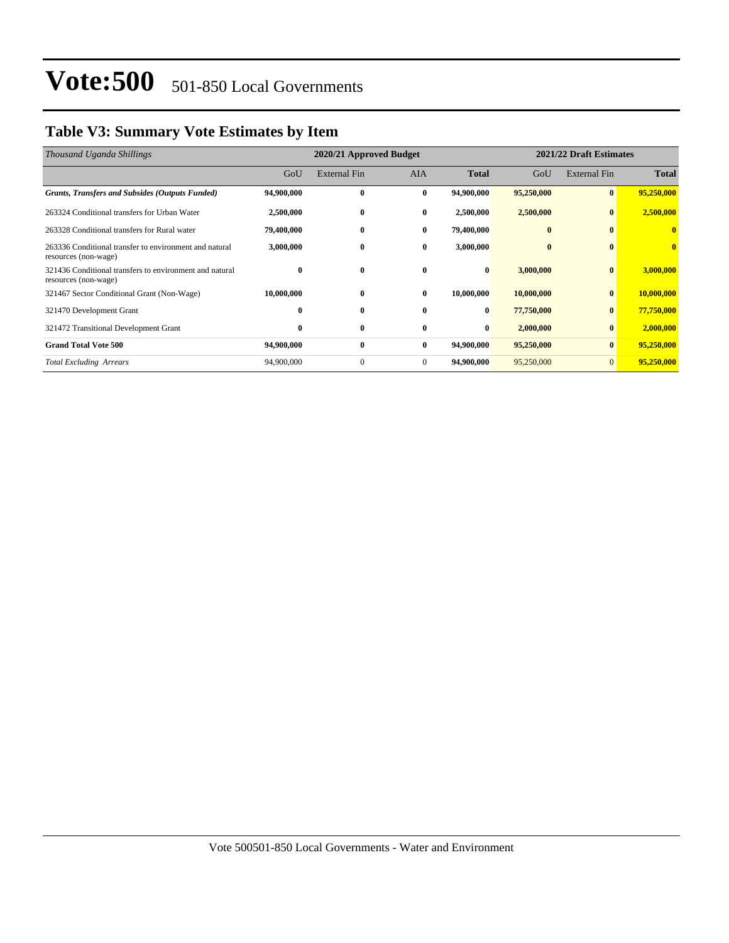## **Table V3: Summary Vote Estimates by Item**

| Thousand Uganda Shillings                                                       |            | 2020/21 Approved Budget |              | 2021/22 Draft Estimates |            |                     |              |
|---------------------------------------------------------------------------------|------------|-------------------------|--------------|-------------------------|------------|---------------------|--------------|
|                                                                                 | GoU        | <b>External Fin</b>     | <b>AIA</b>   | <b>Total</b>            | GoU        | <b>External Fin</b> | <b>Total</b> |
| <b>Grants, Transfers and Subsides (Outputs Funded)</b>                          | 94,900,000 | $\bf{0}$                | $\bf{0}$     | 94,900,000              | 95,250,000 | $\bf{0}$            | 95,250,000   |
| 263324 Conditional transfers for Urban Water                                    | 2,500,000  | $\bf{0}$                | $\bf{0}$     | 2,500,000               | 2,500,000  | $\bf{0}$            | 2,500,000    |
| 263328 Conditional transfers for Rural water                                    | 79,400,000 | $\bf{0}$                | $\bf{0}$     | 79,400,000              | $\bf{0}$   | $\mathbf{0}$        | 0            |
| 263336 Conditional transfer to environment and natural<br>resources (non-wage)  | 3,000,000  | $\bf{0}$                | $\bf{0}$     | 3,000,000               | $\bf{0}$   | $\mathbf{0}$        | $\mathbf{0}$ |
| 321436 Conditional transfers to environment and natural<br>resources (non-wage) | $\bf{0}$   | $\bf{0}$                | $\mathbf{0}$ | $\bf{0}$                | 3,000,000  | $\bf{0}$            | 3,000,000    |
| 321467 Sector Conditional Grant (Non-Wage)                                      | 10,000,000 | $\bf{0}$                | $\mathbf{0}$ | 10,000,000              | 10,000,000 | $\mathbf{0}$        | 10,000,000   |
| 321470 Development Grant                                                        | $\bf{0}$   | $\bf{0}$                | $\mathbf{0}$ | $\bf{0}$                | 77,750,000 | $\bf{0}$            | 77,750,000   |
| 321472 Transitional Development Grant                                           | $\bf{0}$   | $\bf{0}$                | $\mathbf{0}$ | $\bf{0}$                | 2,000,000  | $\mathbf{0}$        | 2,000,000    |
| <b>Grand Total Vote 500</b>                                                     | 94,900,000 | $\bf{0}$                | $\bf{0}$     | 94,900,000              | 95,250,000 | $\bf{0}$            | 95,250,000   |
| <b>Total Excluding Arrears</b>                                                  | 94,900,000 | $\theta$                | $\mathbf{0}$ | 94,900,000              | 95,250,000 | $\mathbf{0}$        | 95,250,000   |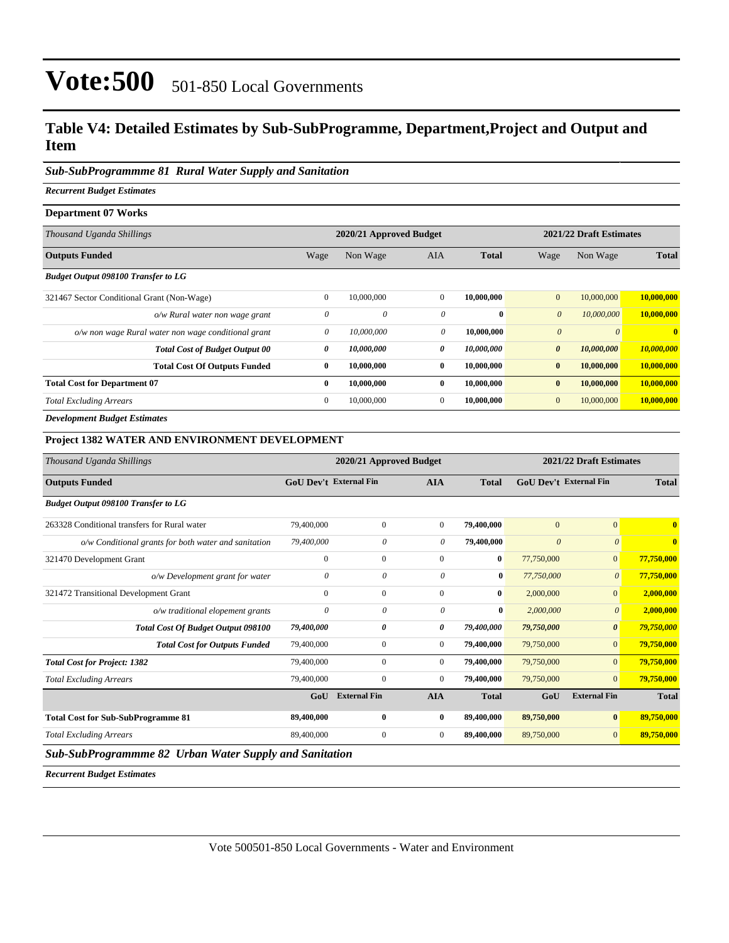## **Table V4: Detailed Estimates by Sub-SubProgramme, Department,Project and Output and Item**

### *Sub-SubProgrammme 81 Rural Water Supply and Sanitation*

*Recurrent Budget Estimates*

#### **Department 07 Works**

| Thousand Uganda Shillings                           | 2020/21 Approved Budget |            |                |              |                       | 2021/22 Draft Estimates |                |  |
|-----------------------------------------------------|-------------------------|------------|----------------|--------------|-----------------------|-------------------------|----------------|--|
| <b>Outputs Funded</b>                               | Wage                    | Non Wage   | <b>AIA</b>     | <b>Total</b> | Wage                  | Non Wage                | <b>Total</b>   |  |
| <b>Budget Output 098100 Transfer to LG</b>          |                         |            |                |              |                       |                         |                |  |
| 321467 Sector Conditional Grant (Non-Wage)          | $\mathbf{0}$            | 10,000,000 | $\mathbf{0}$   | 10,000,000   | $\overline{0}$        | 10,000,000              | 10,000,000     |  |
| o/w Rural water non wage grant                      | $\theta$                | 0          | $\theta$       | $\mathbf{0}$ | $\theta$              | 10,000,000              | 10,000,000     |  |
| o/w non wage Rural water non wage conditional grant | 0                       | 10,000,000 | 0              | 10,000,000   | $\boldsymbol{0}$      | $\theta$                | $\overline{0}$ |  |
| <b>Total Cost of Budget Output 00</b>               | 0                       | 10,000,000 | 0              | 10,000,000   | $\boldsymbol{\theta}$ | 10,000,000              | 10,000,000     |  |
| <b>Total Cost Of Outputs Funded</b>                 | $\bf{0}$                | 10,000,000 | $\bf{0}$       | 10,000,000   | $\bf{0}$              | 10,000,000              | 10,000,000     |  |
| <b>Total Cost for Department 07</b>                 | $\bf{0}$                | 10,000,000 | $\bf{0}$       | 10,000,000   | $\bf{0}$              | 10,000,000              | 10,000,000     |  |
| <b>Total Excluding Arrears</b>                      | $\mathbf{0}$            | 10,000,000 | $\overline{0}$ | 10,000,000   | $\mathbf{0}$          | 10,000,000              | 10,000,000     |  |
| <b>Development Budget Estimates</b>                 |                         |            |                |              |                       |                         |                |  |

### **Project 1382 WATER AND ENVIRONMENT DEVELOPMENT**

| Thousand Uganda Shillings                              | 2020/21 Approved Budget |                               |                |              | 2021/22 Draft Estimates       |                       |              |  |
|--------------------------------------------------------|-------------------------|-------------------------------|----------------|--------------|-------------------------------|-----------------------|--------------|--|
| <b>Outputs Funded</b>                                  |                         | <b>GoU Dev't External Fin</b> | <b>AIA</b>     | <b>Total</b> | <b>GoU Dev't External Fin</b> |                       | <b>Total</b> |  |
| <b>Budget Output 098100 Transfer to LG</b>             |                         |                               |                |              |                               |                       |              |  |
| 263328 Conditional transfers for Rural water           | 79,400,000              | $\mathbf{0}$                  | $\mathbf{0}$   | 79,400,000   | $\mathbf{0}$                  | $\overline{0}$        | $\bf{0}$     |  |
| o/w Conditional grants for both water and sanitation   | 79,400,000              | 0                             | 0              | 79,400,000   | $\boldsymbol{\theta}$         | $\theta$              | $\bf{0}$     |  |
| 321470 Development Grant                               | $\mathbf{0}$            | $\mathbf{0}$                  | $\mathbf{0}$   | $\bf{0}$     | 77,750,000                    | $\overline{0}$        | 77,750,000   |  |
| o/w Development grant for water                        | $\theta$                | 0                             | 0              | $\bf{0}$     | 77,750,000                    | $\theta$              | 77,750,000   |  |
| 321472 Transitional Development Grant                  | $\mathbf{0}$            | $\mathbf{0}$                  | $\mathbf{0}$   | $\bf{0}$     | 2,000,000                     | $\overline{0}$        | 2,000,000    |  |
| o/w traditional elopement grants                       | $\theta$                | 0                             | 0              | $\bf{0}$     | 2,000,000                     | $\boldsymbol{\theta}$ | 2,000,000    |  |
| Total Cost Of Budget Output 098100                     | 79,400,000              | 0                             | $\theta$       | 79,400,000   | 79,750,000                    | $\boldsymbol{\theta}$ | 79,750,000   |  |
| <b>Total Cost for Outputs Funded</b>                   | 79,400,000              | $\mathbf{0}$                  | $\overline{0}$ | 79,400,000   | 79,750,000                    | $\overline{0}$        | 79,750,000   |  |
| <b>Total Cost for Project: 1382</b>                    | 79,400,000              | $\Omega$                      | $\mathbf{0}$   | 79,400,000   | 79,750,000                    | $\Omega$              | 79,750,000   |  |
| <b>Total Excluding Arrears</b>                         | 79,400,000              | $\mathbf{0}$                  | $\overline{0}$ | 79,400,000   | 79,750,000                    | $\Omega$              | 79,750,000   |  |
|                                                        | GoU                     | <b>External Fin</b>           | <b>AIA</b>     | <b>Total</b> | GoU                           | <b>External Fin</b>   | <b>Total</b> |  |
| <b>Total Cost for Sub-SubProgramme 81</b>              | 89,400,000              | $\bf{0}$                      | $\bf{0}$       | 89,400,000   | 89,750,000                    | $\bf{0}$              | 89,750,000   |  |
| <b>Total Excluding Arrears</b>                         | 89,400,000              | $\mathbf{0}$                  | $\overline{0}$ | 89,400,000   | 89,750,000                    | $\overline{0}$        | 89,750,000   |  |
| Sub-SubProgrammme 82 Urban Water Supply and Sanitation |                         |                               |                |              |                               |                       |              |  |

*Recurrent Budget Estimates*